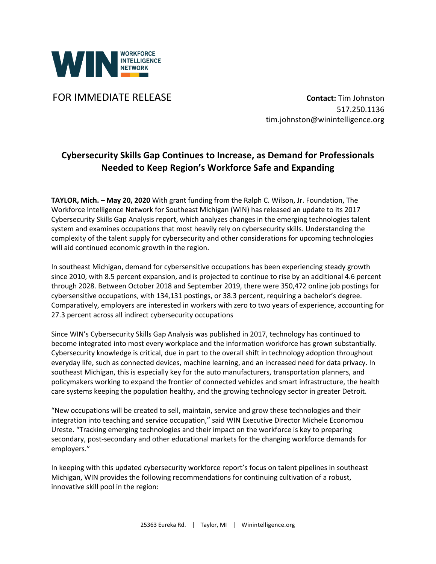

**FOR IMMEDIATE RELEASE CONTACT:** Tim Johnston

517.250.1136 tim.johnston@winintelligence.org

## **Cybersecurity Skills Gap Continues to Increase, as Demand for Professionals Needed to Keep Region's Workforce Safe and Expanding**

**TAYLOR, Mich. – May 20, 2020** With grant funding from the Ralph C. Wilson, Jr. Foundation, The Workforce Intelligence Network for Southeast Michigan (WIN) has released an update to its 2017 Cybersecurity Skills Gap Analysis report, which analyzes changes in the emerging technologies talent system and examines occupations that most heavily rely on cybersecurity skills. Understanding the complexity of the talent supply for cybersecurity and other considerations for upcoming technologies will aid continued economic growth in the region.

In southeast Michigan, demand for cybersensitive occupations has been experiencing steady growth since 2010, with 8.5 percent expansion, and is projected to continue to rise by an additional 4.6 percent through 2028. Between October 2018 and September 2019, there were 350,472 online job postings for cybersensitive occupations, with 134,131 postings, or 38.3 percent, requiring a bachelor's degree. Comparatively, employers are interested in workers with zero to two years of experience, accounting for 27.3 percent across all indirect cybersecurity occupations

Since WIN's Cybersecurity Skills Gap Analysis was published in 2017, technology has continued to become integrated into most every workplace and the information workforce has grown substantially. Cybersecurity knowledge is critical, due in part to the overall shift in technology adoption throughout everyday life, such as connected devices, machine learning, and an increased need for data privacy. In southeast Michigan, this is especially key for the auto manufacturers, transportation planners, and policymakers working to expand the frontier of connected vehicles and smart infrastructure, the health care systems keeping the population healthy, and the growing technology sector in greater Detroit.

"New occupations will be created to sell, maintain, service and grow these technologies and their integration into teaching and service occupation," said WIN Executive Director Michele Economou Ureste. "Tracking emerging technologies and their impact on the workforce is key to preparing secondary, post-secondary and other educational markets for the changing workforce demands for employers."

In keeping with this updated cybersecurity workforce report's focus on talent pipelines in southeast Michigan, WIN provides the following recommendations for continuing cultivation of a robust, innovative skill pool in the region: